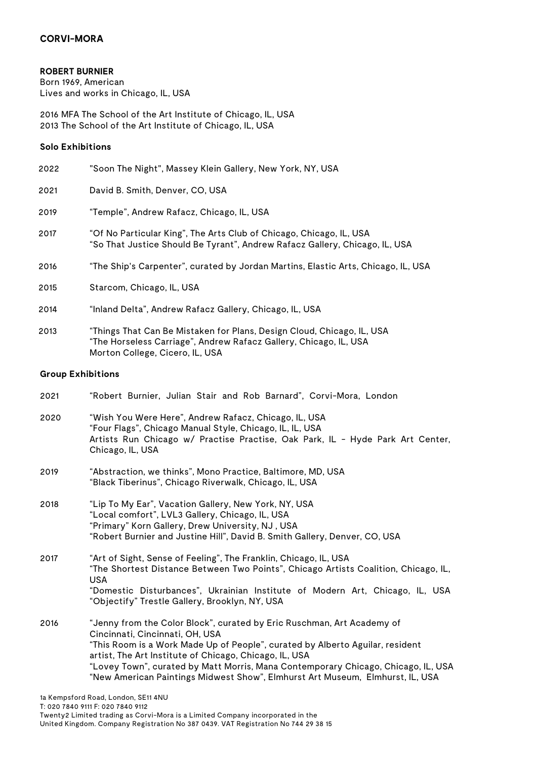## **ROBERT BURNIER**

Born 1969, American Lives and works in Chicago, IL, USA

2016 MFA The School of the Art Institute of Chicago, IL, USA 2013 The School of the Art Institute of Chicago, IL, USA

### **Solo Exhibitions**

| 2022 | "Soon The Night", Massey Klein Gallery, New York, NY, USA                                                                                          |
|------|----------------------------------------------------------------------------------------------------------------------------------------------------|
| 2021 | David B. Smith, Denver, CO, USA                                                                                                                    |
| 2019 | "Temple", Andrew Rafacz, Chicago, IL, USA                                                                                                          |
| 2017 | "Of No Particular King", The Arts Club of Chicago, Chicago, IL, USA<br>"So That Justice Should Be Tyrant", Andrew Rafacz Gallery, Chicago, IL, USA |
| 2016 | "The Ship's Carpenter", curated by Jordan Martins, Elastic Arts, Chicago, IL, USA                                                                  |
| 2015 | Starcom, Chicago, IL, USA                                                                                                                          |
| 2014 | "Inland Delta", Andrew Rafacz Gallery, Chicago, IL, USA                                                                                            |

2013 "Things That Can Be Mistaken for Plans, Design Cloud, Chicago, IL, USA "The Horseless Carriage", Andrew Rafacz Gallery, Chicago, IL, USA Morton College, Cicero, IL, USA

### **Group Exhibitions**

- 2021 "Robert Burnier, Julian Stair and Rob Barnard", Corvi-Mora, London
- 2020 "Wish You Were Here", Andrew Rafacz, Chicago, IL, USA "Four Flags", Chicago Manual Style, Chicago, IL, IL, USA Artists Run Chicago w/ Practise Practise, Oak Park, IL - Hyde Park Art Center, Chicago, IL, USA
- 2019 "Abstraction, we thinks", Mono Practice, Baltimore, MD, USA "Black Tiberinus", Chicago Riverwalk, Chicago, IL, USA
- 2018 "Lip To My Ear", Vacation Gallery, New York, NY, USA "Local comfort", LVL3 Gallery, Chicago, IL, USA "Primary" Korn Gallery, Drew University, NJ , USA "Robert Burnier and Justine Hill", David B. Smith Gallery, Denver, CO, USA

2017 "Art of Sight, Sense of Feeling", The Franklin, Chicago, IL, USA "The Shortest Distance Between Two Points", Chicago Artists Coalition, Chicago, IL, USA "Domestic Disturbances", Ukrainian Institute of Modern Art, Chicago, IL, USA "Objectify" Trestle Gallery, Brooklyn, NY, USA 2016 "Jenny from the Color Block", curated by Eric Ruschman, Art Academy of

Cincinnati, Cincinnati, OH, USA "This Room is a Work Made Up of People", curated by Alberto Aguilar, resident artist, The Art Institute of Chicago, Chicago, IL, USA "Lovey Town", curated by Matt Morris, Mana Contemporary Chicago, Chicago, IL, USA "New American Paintings Midwest Show", Elmhurst Art Museum, Elmhurst, IL, USA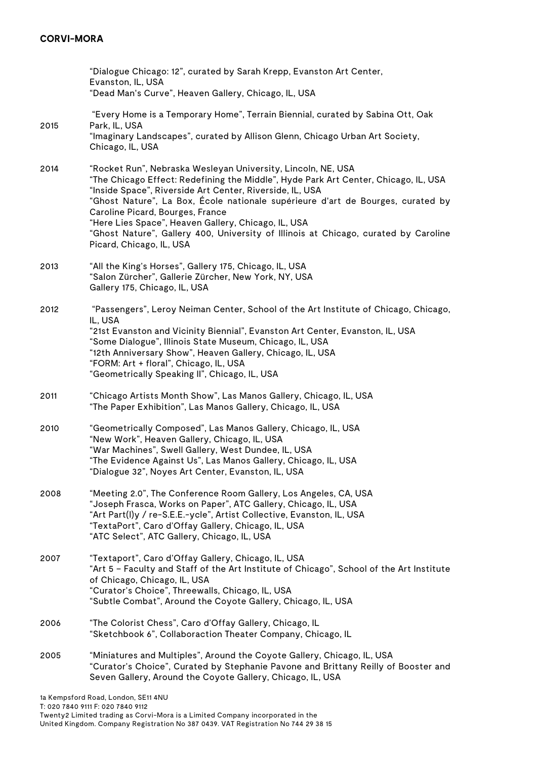# **CORVI-MORA**

|                                     | "Dialogue Chicago: 12", curated by Sarah Krepp, Evanston Art Center,<br>Evanston, IL, USA<br>"Dead Man's Curve", Heaven Gallery, Chicago, IL, USA                                                                                                                                                                                                                                                                                                                                                                |  |
|-------------------------------------|------------------------------------------------------------------------------------------------------------------------------------------------------------------------------------------------------------------------------------------------------------------------------------------------------------------------------------------------------------------------------------------------------------------------------------------------------------------------------------------------------------------|--|
| 2015                                | "Every Home is a Temporary Home", Terrain Biennial, curated by Sabina Ott, Oak<br>Park, IL, USA<br>"Imaginary Landscapes", curated by Allison Glenn, Chicago Urban Art Society,<br>Chicago, IL, USA                                                                                                                                                                                                                                                                                                              |  |
| 2014                                | "Rocket Run", Nebraska Wesleyan University, Lincoln, NE, USA<br>"The Chicago Effect: Redefining the Middle", Hyde Park Art Center, Chicago, IL, USA<br>"Inside Space", Riverside Art Center, Riverside, IL, USA<br>"Ghost Nature", La Box, École nationale supérieure d'art de Bourges, curated by<br>Caroline Picard, Bourges, France<br>"Here Lies Space", Heaven Gallery, Chicago, IL, USA<br>"Ghost Nature", Gallery 400, University of Illinois at Chicago, curated by Caroline<br>Picard, Chicago, IL, USA |  |
| 2013                                | "All the King's Horses", Gallery 175, Chicago, IL, USA<br>"Salon Zürcher", Gallerie Zürcher, New York, NY, USA<br>Gallery 175, Chicago, IL, USA                                                                                                                                                                                                                                                                                                                                                                  |  |
| 2012                                | "Passengers", Leroy Neiman Center, School of the Art Institute of Chicago, Chicago,<br>IL, USA<br>"21st Evanston and Vicinity Biennial", Evanston Art Center, Evanston, IL, USA<br>"Some Dialogue", Illinois State Museum, Chicago, IL, USA<br>"12th Anniversary Show", Heaven Gallery, Chicago, IL, USA<br>"FORM: Art + floral", Chicago, IL, USA<br>"Geometrically Speaking II", Chicago, IL, USA                                                                                                              |  |
| 2011                                | "Chicago Artists Month Show", Las Manos Gallery, Chicago, IL, USA<br>"The Paper Exhibition", Las Manos Gallery, Chicago, IL, USA                                                                                                                                                                                                                                                                                                                                                                                 |  |
| 2010                                | "Geometrically Composed", Las Manos Gallery, Chicago, IL, USA<br>"New Work", Heaven Gallery, Chicago, IL, USA<br>"War Machines", Swell Gallery, West Dundee, IL, USA<br>"The Evidence Against Us", Las Manos Gallery, Chicago, IL, USA<br>Dialogue 32", Noyes Art Center, Evanston, IL, USA                                                                                                                                                                                                                      |  |
| 2008                                | "Meeting 2.0", The Conference Room Gallery, Los Angeles, CA, USA<br>"Joseph Frasca, Works on Paper", ATC Gallery, Chicago, IL, USA<br>"Art Part(I)y / re-S.E.E.-ycle", Artist Collective, Evanston, IL, USA<br>"TextaPort", Caro d'Offay Gallery, Chicago, IL, USA<br>"ATC Select", ATC Gallery, Chicago, IL, USA                                                                                                                                                                                                |  |
| 2007                                | "Textaport", Caro d'Offay Gallery, Chicago, IL, USA<br>"Art 5 - Faculty and Staff of the Art Institute of Chicago", School of the Art Institute<br>of Chicago, Chicago, IL, USA<br>"Curator's Choice", Threewalls, Chicago, IL, USA<br>"Subtle Combat", Around the Coyote Gallery, Chicago, IL, USA                                                                                                                                                                                                              |  |
| 2006                                | "The Colorist Chess", Caro d'Offay Gallery, Chicago, IL<br>"Sketchbook 6", Collaboraction Theater Company, Chicago, IL                                                                                                                                                                                                                                                                                                                                                                                           |  |
| 2005                                | "Miniatures and Multiples", Around the Coyote Gallery, Chicago, IL, USA<br>"Curator's Choice", Curated by Stephanie Pavone and Brittany Reilly of Booster and<br>Seven Gallery, Around the Coyote Gallery, Chicago, IL, USA                                                                                                                                                                                                                                                                                      |  |
| 10 Kampeford Dood London, CE11 ANIL |                                                                                                                                                                                                                                                                                                                                                                                                                                                                                                                  |  |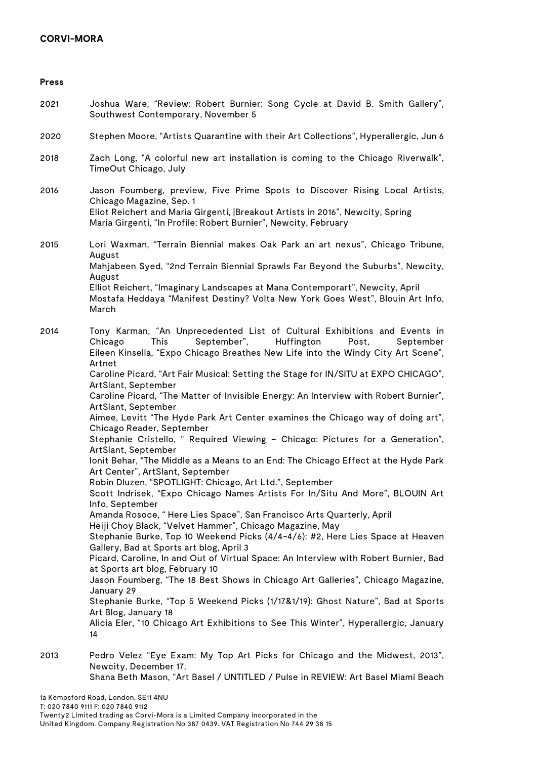## **CORVI-MORA**

| <b>Press</b> |                                                                                                                                                                                                                                                                                                                                                                                                                                                                                                                                                                                                                                                                                                                                                                                                                                                                                                                                                                                                                                                                                                                                                                                                                                                                                                                                                                                                                                                                                                                                                                                                                                                                                                      |
|--------------|------------------------------------------------------------------------------------------------------------------------------------------------------------------------------------------------------------------------------------------------------------------------------------------------------------------------------------------------------------------------------------------------------------------------------------------------------------------------------------------------------------------------------------------------------------------------------------------------------------------------------------------------------------------------------------------------------------------------------------------------------------------------------------------------------------------------------------------------------------------------------------------------------------------------------------------------------------------------------------------------------------------------------------------------------------------------------------------------------------------------------------------------------------------------------------------------------------------------------------------------------------------------------------------------------------------------------------------------------------------------------------------------------------------------------------------------------------------------------------------------------------------------------------------------------------------------------------------------------------------------------------------------------------------------------------------------------|
| 2021         | Joshua Ware, "Review: Robert Burnier: Song Cycle at David B. Smith Gallery",<br>Southwest Contemporary, November 5                                                                                                                                                                                                                                                                                                                                                                                                                                                                                                                                                                                                                                                                                                                                                                                                                                                                                                                                                                                                                                                                                                                                                                                                                                                                                                                                                                                                                                                                                                                                                                                   |
| 2020         | Stephen Moore, "Artists Quarantine with their Art Collections", Hyperallergic, Jun 6                                                                                                                                                                                                                                                                                                                                                                                                                                                                                                                                                                                                                                                                                                                                                                                                                                                                                                                                                                                                                                                                                                                                                                                                                                                                                                                                                                                                                                                                                                                                                                                                                 |
| 2018         | Zach Long, "A colorful new art installation is coming to the Chicago Riverwalk",<br>TimeOut Chicago, July                                                                                                                                                                                                                                                                                                                                                                                                                                                                                                                                                                                                                                                                                                                                                                                                                                                                                                                                                                                                                                                                                                                                                                                                                                                                                                                                                                                                                                                                                                                                                                                            |
| 2016         | Jason Foumberg, preview, Five Prime Spots to Discover Rising Local Artists,<br>Chicago Magazine, Sep. 1<br>Eliot Reichert and Maria Girgenti,  Breakout Artists in 2016", Newcity, Spring<br>Maria Girgenti, "In Profile: Robert Burnier", Newcity, February                                                                                                                                                                                                                                                                                                                                                                                                                                                                                                                                                                                                                                                                                                                                                                                                                                                                                                                                                                                                                                                                                                                                                                                                                                                                                                                                                                                                                                         |
| 2015         | Lori Waxman, "Terrain Biennial makes Oak Park an art nexus", Chicago Tribune,<br>August<br>Mahjabeen Syed, "2nd Terrain Biennial Sprawls Far Beyond the Suburbs", Newcity,<br>August<br>Elliot Reichert, "Imaginary Landscapes at Mana Contemporart", Newcity, April<br>Mostafa Heddaya "Manifest Destiny? Volta New York Goes West", Blouin Art Info,<br>March                                                                                                                                                                                                                                                                                                                                                                                                                                                                                                                                                                                                                                                                                                                                                                                                                                                                                                                                                                                                                                                                                                                                                                                                                                                                                                                                      |
| 2014         | Tony Karman, "An Unprecedented List of Cultural Exhibitions and Events in<br>September",<br>Huffington<br>This<br>Chicago<br>Post,<br>September<br>Eileen Kinsella, "Expo Chicago Breathes New Life into the Windy City Art Scene",<br>Artnet<br>Caroline Picard, "Art Fair Musical: Setting the Stage for IN/SITU at EXPO CHICAGO",<br>ArtSlant, September<br>Caroline Picard, "The Matter of Invisible Energy: An Interview with Robert Burnier",<br>ArtSlant, September<br>Aimee, Levitt "The Hyde Park Art Center examines the Chicago way of doing art",<br>Chicago Reader, September<br>Stephanie Cristello, " Required Viewing - Chicago: Pictures for a Generation",<br>ArtSlant, September<br>lonit Behar, "The Middle as a Means to an End: The Chicago Effect at the Hyde Park<br>Art Center", ArtSlant, September<br>Robin Dluzen, "SPOTLIGHT: Chicago, Art Ltd.", September<br>Scott Indrisek, "Expo Chicago Names Artists For In/Situ And More", BLOUIN Art<br>Info, September<br>Amanda Rosoce, "Here Lies Space", San Francisco Arts Quarterly, April<br>Heiji Choy Black, "Velvet Hammer", Chicago Magazine, May<br>Stephanie Burke, Top 10 Weekend Picks (4/4-4/6): #2, Here Lies Space at Heaven<br>Gallery, Bad at Sports art blog, April 3<br>Picard, Caroline, In and Out of Virtual Space: An Interview with Robert Burnier, Bad<br>at Sports art blog, February 10<br>Jason Foumberg, "The 18 Best Shows in Chicago Art Galleries", Chicago Magazine,<br>January 29<br>Stephanie Burke, "Top 5 Weekend Picks (1/17&1/19): Ghost Nature", Bad at Sports<br>Art Blog, January 18<br>Alicia Eler, "10 Chicago Art Exhibitions to See This Winter", Hyperallergic, January<br>14 |
| 2013         | Pedro Velez "Eye Exam: My Top Art Picks for Chicago and the Midwest, 2013",<br>Newcity, December 17,                                                                                                                                                                                                                                                                                                                                                                                                                                                                                                                                                                                                                                                                                                                                                                                                                                                                                                                                                                                                                                                                                                                                                                                                                                                                                                                                                                                                                                                                                                                                                                                                 |

Shana Beth Mason, "Art Basel / UNTITLED / Pulse in REVIEW: Art Basel Miami Beach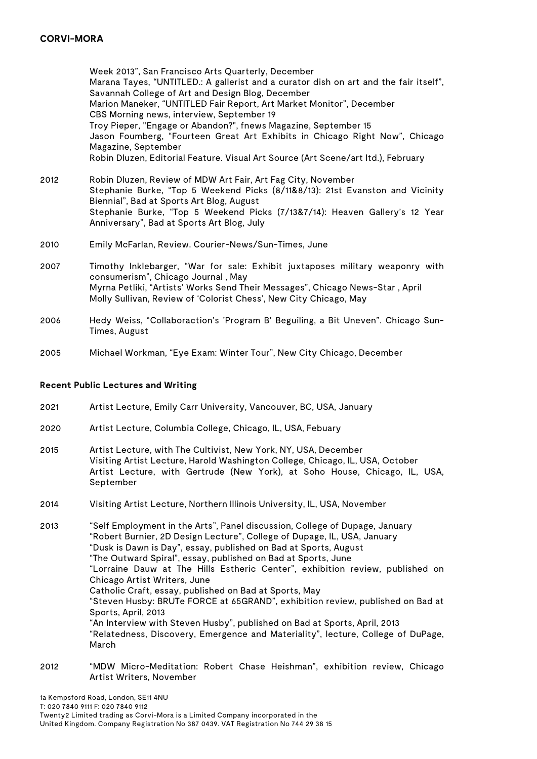## **CORVI-MORA**

Week 2013", San Francisco Arts Quarterly, December Marana Tayes, "UNTITLED.: A gallerist and a curator dish on art and the fair itself", Savannah College of Art and Design Blog, December Marion Maneker, "UNTITLED Fair Report, Art Market Monitor", December CBS Morning news, interview, September 19 Troy Pieper, "Engage or Abandon?", fnews Magazine, September 15 Jason Foumberg, "Fourteen Great Art Exhibits in Chicago Right Now", Chicago Magazine, September Robin Dluzen, Editorial Feature. Visual Art Source (Art Scene/art ltd.), February

- 2012 Robin Dluzen, Review of MDW Art Fair, Art Fag City, November Stephanie Burke, "Top 5 Weekend Picks (8/11&8/13): 21st Evanston and Vicinity Biennial", Bad at Sports Art Blog, August Stephanie Burke, "Top 5 Weekend Picks (7/13&7/14): Heaven Gallery's 12 Year Anniversary", Bad at Sports Art Blog, July
- 2010 Emily McFarlan, Review. Courier-News/Sun-Times, June
- 2007 Timothy Inklebarger, "War for sale: Exhibit juxtaposes military weaponry with consumerism", Chicago Journal , May Myrna Petliki, "Artists' Works Send Their Messages", Chicago News-Star , April Molly Sullivan, Review of 'Colorist Chess', New City Chicago, May
- 2006 Hedy Weiss, "Collaboraction's 'Program B' Beguiling, a Bit Uneven". Chicago Sun-Times, August
- 2005 Michael Workman, "Eye Exam: Winter Tour", New City Chicago, December

#### **Recent Public Lectures and Writing**

- 2021 Artist Lecture, Emily Carr University, Vancouver, BC, USA, January
- 2020 Artist Lecture, Columbia College, Chicago, IL, USA, Febuary
- 2015 Artist Lecture, with The Cultivist, New York, NY, USA, December Visiting Artist Lecture, Harold Washington College, Chicago, IL, USA, October Artist Lecture, with Gertrude (New York), at Soho House, Chicago, IL, USA, September
- 2014 Visiting Artist Lecture, Northern Illinois University, IL, USA, November

2013 "Self Employment in the Arts", Panel discussion, College of Dupage, January "Robert Burnier, 2D Design Lecture", College of Dupage, IL, USA, January "Dusk is Dawn is Day", essay, published on Bad at Sports, August "The Outward Spiral", essay, published on Bad at Sports, June "Lorraine Dauw at The Hills Estheric Center", exhibition review, published on Chicago Artist Writers, June Catholic Craft, essay, published on Bad at Sports, May "Steven Husby: BRUTe FORCE at 65GRAND", exhibition review, published on Bad at Sports, April, 2013 "An Interview with Steven Husby", published on Bad at Sports, April, 2013 "Relatedness, Discovery, Emergence and Materiality", lecture, College of DuPage, March

2012 "MDW Micro-Meditation: Robert Chase Heishman", exhibition review, Chicago Artist Writers, November